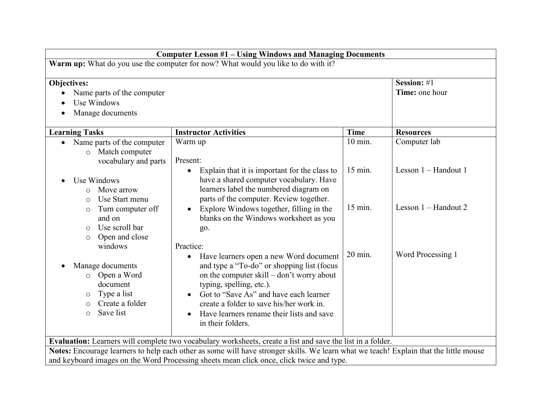| <b>Computer Lesson #1 - Using Windows and Managing Documents</b>                                                                                  |                                                                                                                                                                                                                                                                                                                                                              |                    |                               |
|---------------------------------------------------------------------------------------------------------------------------------------------------|--------------------------------------------------------------------------------------------------------------------------------------------------------------------------------------------------------------------------------------------------------------------------------------------------------------------------------------------------------------|--------------------|-------------------------------|
| Warm up: What do you use the computer for now? What would you like to do with it?                                                                 |                                                                                                                                                                                                                                                                                                                                                              |                    |                               |
| Objectives:<br>Name parts of the computer<br>Use Windows<br>Manage documents                                                                      |                                                                                                                                                                                                                                                                                                                                                              |                    | Session: #1<br>Time: one hour |
| <b>Learning Tasks</b>                                                                                                                             | <b>Instructor Activities</b>                                                                                                                                                                                                                                                                                                                                 | <b>Time</b>        | <b>Resources</b>              |
| Name parts of the computer<br>Match computer<br>$\circ$<br>vocabulary and parts                                                                   | Warm up<br>Present:                                                                                                                                                                                                                                                                                                                                          | $10 \text{ min}$ . | Computer lab                  |
| Use Windows<br>Move arrow<br>$\Omega$<br>Use Start menu<br>$\circ$                                                                                | Explain that it is important for the class to<br>$\bullet$<br>have a shared computer vocabulary. Have<br>learners label the numbered diagram on<br>parts of the computer. Review together.                                                                                                                                                                   | $15$ min.          | Lesson 1 - Handout 1          |
| Turn computer off<br>$\circ$<br>and on<br>Use scroll bar<br>$\circ$<br>Open and close<br>O                                                        | Explore Windows together, filling in the<br>blanks on the Windows worksheet as you<br>go.                                                                                                                                                                                                                                                                    | 15 min.            | Lesson 1 – Handout 2          |
| windows<br>Manage documents<br>Open a Word<br>$\circ$<br>document<br>Type a list<br>$\circ$<br>Create a folder<br>$\circ$<br>Save list<br>$\circ$ | Practice:<br>Have learners open a new Word document<br>$\bullet$<br>and type a "To-do" or shopping list (focus<br>on the computer skill – don't worry about<br>typing, spelling, etc.).<br>Got to "Save As" and have each learner<br>create a folder to save his/her work in.<br>Have learners rename their lists and save<br>$\bullet$<br>in their folders. | 20 min.            | Word Processing 1             |
|                                                                                                                                                   | Evaluation: Learners will complete two vocabulary worksheets, create a list and save the list in a folder.                                                                                                                                                                                                                                                   |                    |                               |
|                                                                                                                                                   | Notes: Encourage learners to help each other as some will have stronger skills. We learn what we teach! Explain that the little mouse                                                                                                                                                                                                                        |                    |                               |
|                                                                                                                                                   | and keyboard images on the Word Processing sheets mean click once, click twice and type.                                                                                                                                                                                                                                                                     |                    |                               |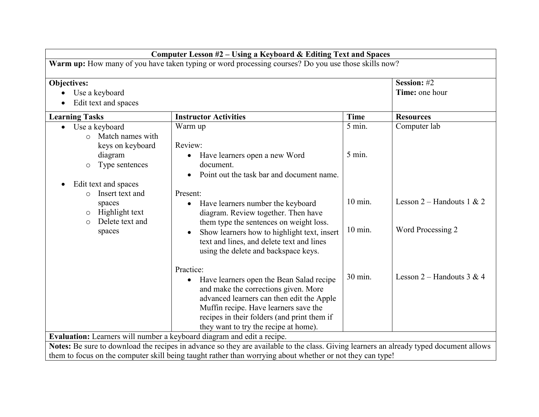| Computer Lesson #2 – Using a Keyboard & Editing Text and Spaces                                            |                                                                                                                                                                                                                                                                             |                   |                               |
|------------------------------------------------------------------------------------------------------------|-----------------------------------------------------------------------------------------------------------------------------------------------------------------------------------------------------------------------------------------------------------------------------|-------------------|-------------------------------|
| <b>Warm up:</b> How many of you have taken typing or word processing courses? Do you use those skills now? |                                                                                                                                                                                                                                                                             |                   |                               |
| Objectives:<br>Use a keyboard<br>Edit text and spaces                                                      |                                                                                                                                                                                                                                                                             |                   | Session: #2<br>Time: one hour |
| <b>Learning Tasks</b>                                                                                      | <b>Instructor Activities</b>                                                                                                                                                                                                                                                | <b>Time</b>       | <b>Resources</b>              |
| Use a keyboard<br>$\circ$ Match names with<br>keys on keyboard                                             | Warm up<br>Review:                                                                                                                                                                                                                                                          | 5 min.            | Computer lab                  |
| diagram<br>Type sentences<br>$\circ$<br>Edit text and spaces<br>$\bullet$<br>Insert text and               | Have learners open a new Word<br>$\bullet$<br>document.<br>Point out the task bar and document name.<br>Present:                                                                                                                                                            | 5 min.            |                               |
| $\bigcirc$<br>spaces<br>Highlight text<br>$\circ$<br>Delete text and<br>$\circ$                            | Have learners number the keyboard<br>diagram. Review together. Then have<br>them type the sentences on weight loss.                                                                                                                                                         | $10 \text{ min.}$ | Lesson $2$ – Handouts 1 & 2   |
| spaces                                                                                                     | Show learners how to highlight text, insert<br>text and lines, and delete text and lines<br>using the delete and backspace keys.                                                                                                                                            | $10$ min.         | Word Processing 2             |
|                                                                                                            | Practice:<br>Have learners open the Bean Salad recipe<br>and make the corrections given. More<br>advanced learners can then edit the Apple<br>Muffin recipe. Have learners save the<br>recipes in their folders (and print them if<br>they want to try the recipe at home). | 30 min.           | Lesson $2$ – Handouts 3 & 4   |
| Evaluation: Learners will number a keyboard diagram and edit a recipe.                                     |                                                                                                                                                                                                                                                                             |                   |                               |
|                                                                                                            | Notes: Be sure to download the recipes in advance so they are available to the class. Giving learners an already typed document allows                                                                                                                                      |                   |                               |
| them to focus on the computer skill being taught rather than worrying about whether or not they can type!  |                                                                                                                                                                                                                                                                             |                   |                               |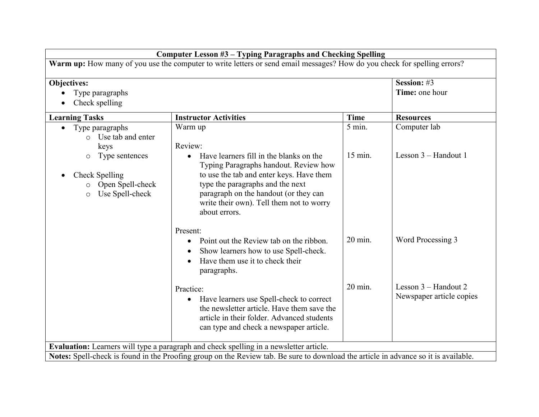| <b>Computer Lesson #3 - Typing Paragraphs and Checking Spelling</b>                                                      |                                                                                                                                                                                                                                                                                     |                    |                                                  |
|--------------------------------------------------------------------------------------------------------------------------|-------------------------------------------------------------------------------------------------------------------------------------------------------------------------------------------------------------------------------------------------------------------------------------|--------------------|--------------------------------------------------|
| Warm up: How many of you use the computer to write letters or send email messages? How do you check for spelling errors? |                                                                                                                                                                                                                                                                                     |                    |                                                  |
| Objectives:<br>Type paragraphs<br>Check spelling                                                                         |                                                                                                                                                                                                                                                                                     |                    | Session: #3<br>Time: one hour                    |
| <b>Learning Tasks</b>                                                                                                    | <b>Instructor Activities</b>                                                                                                                                                                                                                                                        | <b>Time</b>        | <b>Resources</b>                                 |
| Type paragraphs<br>o Use tab and enter<br>keys                                                                           | Warm up<br>Review:                                                                                                                                                                                                                                                                  | $5$ min.           | Computer lab                                     |
| Type sentences<br>$\circ$<br>Check Spelling<br>$\bullet$<br>Open Spell-check<br>O<br>Use Spell-check<br>$\circ$          | Have learners fill in the blanks on the<br>$\bullet$<br>Typing Paragraphs handout. Review how<br>to use the tab and enter keys. Have them<br>type the paragraphs and the next<br>paragraph on the handout (or they can<br>write their own). Tell them not to worry<br>about errors. | $15$ min.          | Lesson $3 -$ Handout 1                           |
|                                                                                                                          | Present:<br>Point out the Review tab on the ribbon.<br>$\bullet$<br>Show learners how to use Spell-check.<br>$\bullet$<br>Have them use it to check their<br>paragraphs.                                                                                                            | $20 \text{ min}$ . | Word Processing 3                                |
|                                                                                                                          | Practice:<br>Have learners use Spell-check to correct<br>$\bullet$<br>the newsletter article. Have them save the<br>article in their folder. Advanced students<br>can type and check a newspaper article.                                                                           | $20 \text{ min.}$  | Lesson 3 - Handout 2<br>Newspaper article copies |
|                                                                                                                          | Evaluation: Learners will type a paragraph and check spelling in a newsletter article.                                                                                                                                                                                              |                    |                                                  |
|                                                                                                                          | Notes: Spell-check is found in the Proofing group on the Review tab. Be sure to download the article in advance so it is available.                                                                                                                                                 |                    |                                                  |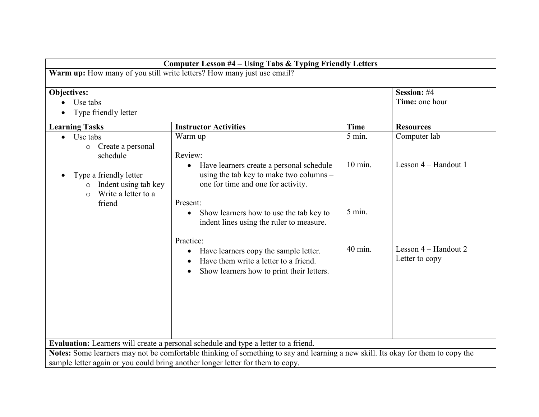| <b>Computer Lesson #4 - Using Tabs &amp; Typing Friendly Letters</b>                                                                                                                                               |                                                                                                                        |                     |                                      |  |  |
|--------------------------------------------------------------------------------------------------------------------------------------------------------------------------------------------------------------------|------------------------------------------------------------------------------------------------------------------------|---------------------|--------------------------------------|--|--|
| Warm up: How many of you still write letters? How many just use email?                                                                                                                                             |                                                                                                                        |                     |                                      |  |  |
| Objectives:<br>Use tabs<br>Type friendly letter                                                                                                                                                                    |                                                                                                                        |                     | Session: #4<br>Time: one hour        |  |  |
| <b>Learning Tasks</b>                                                                                                                                                                                              | <b>Instructor Activities</b>                                                                                           | <b>Time</b>         | <b>Resources</b>                     |  |  |
| Use tabs<br>$\bullet$<br>o Create a personal<br>schedule                                                                                                                                                           | Warm up<br>Review:<br>Have learners create a personal schedule<br>$\bullet$<br>using the tab key to make two columns – | 5 min.<br>$10$ min. | Computer lab<br>Lesson 4 – Handout 1 |  |  |
| Type a friendly letter<br>$\bullet$<br>Indent using tab key<br>$\circ$<br>Write a letter to a<br>$\circ$<br>friend                                                                                                 | one for time and one for activity.<br>Present:                                                                         |                     |                                      |  |  |
|                                                                                                                                                                                                                    | Show learners how to use the tab key to<br>$\bullet$<br>indent lines using the ruler to measure.<br>Practice:          | 5 min.              |                                      |  |  |
| 40 min.<br>Lesson 4 – Handout 2<br>Have learners copy the sample letter.<br>$\bullet$<br>Letter to copy<br>Have them write a letter to a friend.<br>Show learners how to print their letters.                      |                                                                                                                        |                     |                                      |  |  |
|                                                                                                                                                                                                                    | <b>Evaluation:</b> Learners will create a personal schedule and type a letter to a friend.                             |                     |                                      |  |  |
| Notes: Some learners may not be comfortable thinking of something to say and learning a new skill. Its okay for them to copy the<br>sample letter again or you could bring another longer letter for them to copy. |                                                                                                                        |                     |                                      |  |  |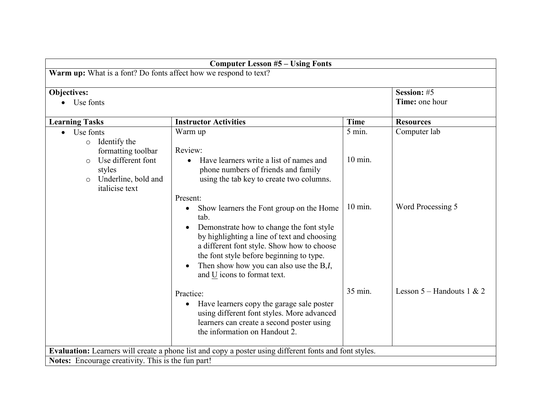| <b>Computer Lesson #5 - Using Fonts</b>                                                                  |                                                                                                                                                                                                                                                                                                                                             |                     |                               |
|----------------------------------------------------------------------------------------------------------|---------------------------------------------------------------------------------------------------------------------------------------------------------------------------------------------------------------------------------------------------------------------------------------------------------------------------------------------|---------------------|-------------------------------|
| Warm up: What is a font? Do fonts affect how we respond to text?                                         |                                                                                                                                                                                                                                                                                                                                             |                     |                               |
| <b>Objectives:</b><br>Use fonts                                                                          |                                                                                                                                                                                                                                                                                                                                             |                     | Session: #5<br>Time: one hour |
| <b>Learning Tasks</b>                                                                                    | <b>Instructor Activities</b>                                                                                                                                                                                                                                                                                                                | <b>Time</b>         | <b>Resources</b>              |
| Use fonts<br>$\bullet$<br>Identify the<br>$\circ$<br>formatting toolbar<br>Use different font<br>$\circ$ | Warm up<br>Review:<br>Have learners write a list of names and                                                                                                                                                                                                                                                                               | 5 min.<br>$10$ min. | Computer lab                  |
| styles<br>Underline, bold and<br>$\circ$<br><i>italicise</i> text                                        | phone numbers of friends and family<br>using the tab key to create two columns.<br>Present:                                                                                                                                                                                                                                                 |                     |                               |
|                                                                                                          | Show learners the Font group on the Home<br>$\bullet$<br>tab.<br>Demonstrate how to change the font style<br>by highlighting a line of text and choosing<br>a different font style. Show how to choose<br>the font style before beginning to type.<br>Then show how you can also use the B,I,<br>$\bullet$<br>and $U$ icons to format text. | $10 \text{ min.}$   | Word Processing 5             |
|                                                                                                          | Practice:<br>Have learners copy the garage sale poster<br>$\bullet$<br>using different font styles. More advanced<br>learners can create a second poster using<br>the information on Handout 2.                                                                                                                                             | 35 min.             | Lesson $5 -$ Handouts 1 & 2   |
|                                                                                                          | Evaluation: Learners will create a phone list and copy a poster using different fonts and font styles.                                                                                                                                                                                                                                      |                     |                               |
| <b>Notes:</b> Encourage creativity. This is the fun part!                                                |                                                                                                                                                                                                                                                                                                                                             |                     |                               |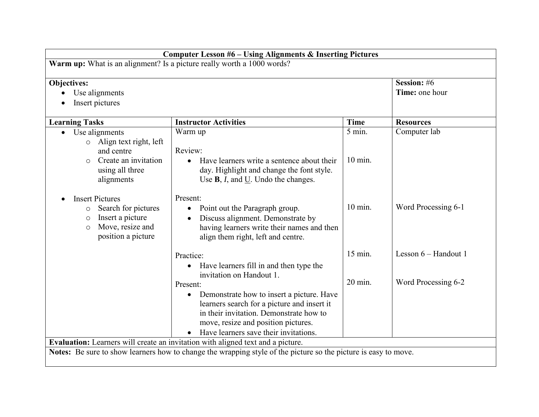| <b>Computer Lesson #6 - Using Alignments &amp; Inserting Pictures</b>                                                                               |                                                                                                                                                                                                                                                                                                                                                            |                                |                                             |
|-----------------------------------------------------------------------------------------------------------------------------------------------------|------------------------------------------------------------------------------------------------------------------------------------------------------------------------------------------------------------------------------------------------------------------------------------------------------------------------------------------------------------|--------------------------------|---------------------------------------------|
|                                                                                                                                                     | Warm up: What is an alignment? Is a picture really worth a 1000 words?                                                                                                                                                                                                                                                                                     |                                |                                             |
| Objectives:<br>Use alignments<br>Insert pictures                                                                                                    |                                                                                                                                                                                                                                                                                                                                                            |                                | Session: #6<br>Time: one hour               |
| <b>Learning Tasks</b>                                                                                                                               | <b>Instructor Activities</b>                                                                                                                                                                                                                                                                                                                               | <b>Time</b>                    | <b>Resources</b>                            |
| Use alignments<br>$\bullet$<br>Align text right, left<br>$\circ$<br>and centre<br>Create an invitation<br>$\Omega$<br>using all three<br>alignments | Warm up<br>Review:<br>Have learners write a sentence about their<br>day. Highlight and change the font style.<br>Use $\mathbf{B}$ , $I$ , and U. Undo the changes.                                                                                                                                                                                         | 5 min.<br>$10 \text{ min.}$    | Computer lab                                |
| <b>Insert Pictures</b><br>Search for pictures<br>$\circ$<br>Insert a picture<br>$\circ$<br>Move, resize and<br>$\circ$<br>position a picture        | Present:<br>Point out the Paragraph group.<br>$\bullet$<br>Discuss alignment. Demonstrate by<br>having learners write their names and then<br>align them right, left and centre.                                                                                                                                                                           | $10 \text{ min}$ .             | Word Processing 6-1                         |
|                                                                                                                                                     | Practice:<br>Have learners fill in and then type the<br>$\bullet$<br>invitation on Handout 1.<br>Present:<br>Demonstrate how to insert a picture. Have<br>$\bullet$<br>learners search for a picture and insert it<br>in their invitation. Demonstrate how to<br>move, resize and position pictures.<br>Have learners save their invitations.<br>$\bullet$ | $15$ min.<br>$20 \text{ min.}$ | Lesson 6 – Handout 1<br>Word Processing 6-2 |
|                                                                                                                                                     | <b>Evaluation:</b> Learners will create an invitation with aligned text and a picture.                                                                                                                                                                                                                                                                     |                                |                                             |
| Notes: Be sure to show learners how to change the wrapping style of the picture so the picture is easy to move.                                     |                                                                                                                                                                                                                                                                                                                                                            |                                |                                             |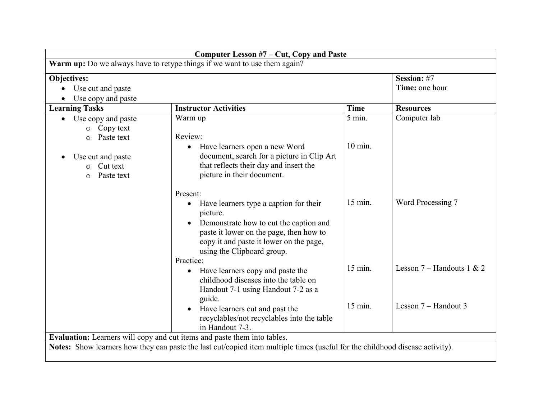| Computer Lesson #7 - Cut, Copy and Paste                                  |                                                                                                                              |                   |                             |  |
|---------------------------------------------------------------------------|------------------------------------------------------------------------------------------------------------------------------|-------------------|-----------------------------|--|
| Warm up: Do we always have to retype things if we want to use them again? |                                                                                                                              |                   |                             |  |
| <b>Objectives:</b>                                                        |                                                                                                                              |                   | Session: #7                 |  |
| Use cut and paste<br>$\bullet$                                            |                                                                                                                              |                   | Time: one hour              |  |
| Use copy and paste                                                        |                                                                                                                              |                   |                             |  |
| <b>Learning Tasks</b>                                                     | <b>Instructor Activities</b>                                                                                                 | <b>Time</b>       | <b>Resources</b>            |  |
| Use copy and paste                                                        | Warm up                                                                                                                      | $5$ min.          | Computer lab                |  |
| Copy text<br>$\circ$                                                      |                                                                                                                              |                   |                             |  |
| Paste text<br>$\Omega$                                                    | Review:                                                                                                                      |                   |                             |  |
|                                                                           | Have learners open a new Word<br>$\bullet$                                                                                   | $10 \text{ min.}$ |                             |  |
| Use cut and paste                                                         | document, search for a picture in Clip Art                                                                                   |                   |                             |  |
| Cut text<br>$\Omega$                                                      | that reflects their day and insert the                                                                                       |                   |                             |  |
| Paste text<br>$\circ$                                                     | picture in their document.                                                                                                   |                   |                             |  |
|                                                                           | Present:                                                                                                                     |                   |                             |  |
|                                                                           | Have learners type a caption for their<br>$\bullet$                                                                          | 15 min.           | Word Processing 7           |  |
|                                                                           | picture.                                                                                                                     |                   |                             |  |
|                                                                           | Demonstrate how to cut the caption and                                                                                       |                   |                             |  |
|                                                                           | paste it lower on the page, then how to                                                                                      |                   |                             |  |
|                                                                           | copy it and paste it lower on the page,                                                                                      |                   |                             |  |
|                                                                           | using the Clipboard group.                                                                                                   |                   |                             |  |
|                                                                           | Practice:                                                                                                                    |                   |                             |  |
|                                                                           | Have learners copy and paste the<br>$\bullet$                                                                                | $15$ min.         | Lesson $7 -$ Handouts 1 & 2 |  |
|                                                                           | childhood diseases into the table on                                                                                         |                   |                             |  |
|                                                                           | Handout 7-1 using Handout 7-2 as a                                                                                           |                   |                             |  |
|                                                                           | guide.                                                                                                                       |                   |                             |  |
|                                                                           | Have learners cut and past the                                                                                               | $15$ min.         | Lesson 7 – Handout 3        |  |
|                                                                           | recyclables/not recyclables into the table                                                                                   |                   |                             |  |
|                                                                           | in Handout 7-3.                                                                                                              |                   |                             |  |
| Evaluation: Learners will copy and cut items and paste them into tables.  |                                                                                                                              |                   |                             |  |
|                                                                           | Notes: Show learners how they can paste the last cut/copied item multiple times (useful for the childhood disease activity). |                   |                             |  |
|                                                                           |                                                                                                                              |                   |                             |  |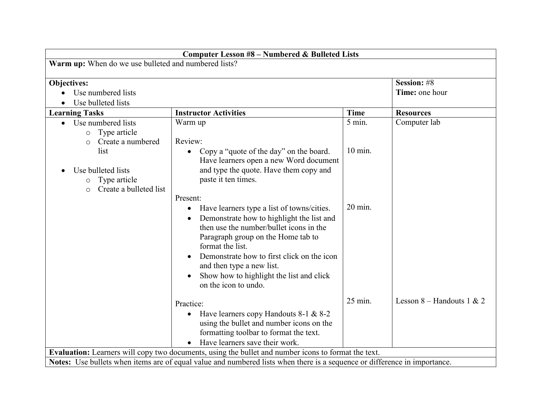| Computer Lesson #8 - Numbered & Bulleted Lists                                    |                                                                                                                                                                                                                                                                                                                                                                       |             |                               |
|-----------------------------------------------------------------------------------|-----------------------------------------------------------------------------------------------------------------------------------------------------------------------------------------------------------------------------------------------------------------------------------------------------------------------------------------------------------------------|-------------|-------------------------------|
| Warm up: When do we use bulleted and numbered lists?                              |                                                                                                                                                                                                                                                                                                                                                                       |             |                               |
| <b>Objectives:</b><br>Use numbered lists<br>Use bulleted lists                    |                                                                                                                                                                                                                                                                                                                                                                       |             | Session: #8<br>Time: one hour |
| <b>Learning Tasks</b>                                                             | <b>Instructor Activities</b>                                                                                                                                                                                                                                                                                                                                          | <b>Time</b> | <b>Resources</b>              |
| Use numbered lists<br>$\bullet$<br>o Type article<br>Create a numbered<br>$\circ$ | Warm up<br>Review:                                                                                                                                                                                                                                                                                                                                                    | 5 min.      | Computer lab                  |
| list<br>Use bulleted lists<br>Type article<br>O<br>Create a bulleted list         | Copy a "quote of the day" on the board.<br>Have learners open a new Word document<br>and type the quote. Have them copy and<br>paste it ten times.<br>Present:                                                                                                                                                                                                        | $10$ min.   |                               |
|                                                                                   | Have learners type a list of towns/cities.<br>$\bullet$<br>Demonstrate how to highlight the list and<br>then use the number/bullet icons in the<br>Paragraph group on the Home tab to<br>format the list.<br>Demonstrate how to first click on the icon<br>and then type a new list.<br>Show how to highlight the list and click<br>$\bullet$<br>on the icon to undo. | 20 min.     |                               |
|                                                                                   | Practice:<br>Have learners copy Handouts 8-1 & 8-2<br>$\bullet$<br>using the bullet and number icons on the<br>formatting toolbar to format the text.<br>Have learners save their work.                                                                                                                                                                               | 25 min.     | Lesson 8 – Handouts 1 & 2     |
|                                                                                   | Evaluation: Learners will copy two documents, using the bullet and number icons to format the text.                                                                                                                                                                                                                                                                   |             |                               |
|                                                                                   | Notes: Use bullets when items are of equal value and numbered lists when there is a sequence or difference in importance.                                                                                                                                                                                                                                             |             |                               |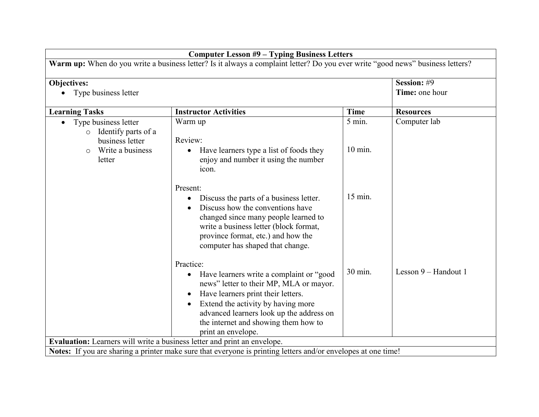| <b>Computer Lesson #9 - Typing Business Letters</b>                                                                            |                                                                                                                                                                                                                                                                                                     |             |                               |
|--------------------------------------------------------------------------------------------------------------------------------|-----------------------------------------------------------------------------------------------------------------------------------------------------------------------------------------------------------------------------------------------------------------------------------------------------|-------------|-------------------------------|
| Warm up: When do you write a business letter? Is it always a complaint letter? Do you ever write "good news" business letters? |                                                                                                                                                                                                                                                                                                     |             |                               |
| <b>Objectives:</b><br>Type business letter                                                                                     |                                                                                                                                                                                                                                                                                                     |             | Session: #9<br>Time: one hour |
| <b>Learning Tasks</b>                                                                                                          | <b>Instructor Activities</b>                                                                                                                                                                                                                                                                        | <b>Time</b> | <b>Resources</b>              |
| Type business letter<br>$\bullet$<br>Identify parts of a<br>$\circ$<br>business letter                                         | Warm up<br>Review:                                                                                                                                                                                                                                                                                  | 5 min.      | Computer lab                  |
| Write a business<br>$\circ$<br>letter                                                                                          | Have learners type a list of foods they<br>$\bullet$<br>enjoy and number it using the number<br>icon.                                                                                                                                                                                               | $10$ min.   |                               |
|                                                                                                                                | Present:<br>Discuss the parts of a business letter.<br>$\bullet$<br>Discuss how the conventions have<br>$\bullet$<br>changed since many people learned to<br>write a business letter (block format,<br>province format, etc.) and how the<br>computer has shaped that change.                       | 15 min.     |                               |
|                                                                                                                                | Practice:<br>Have learners write a complaint or "good<br>$\bullet$<br>news" letter to their MP, MLA or mayor.<br>Have learners print their letters.<br>Extend the activity by having more<br>advanced learners look up the address on<br>the internet and showing them how to<br>print an envelope. | 30 min.     | Lesson 9 – Handout 1          |
| Evaluation: Learners will write a business letter and print an envelope.                                                       |                                                                                                                                                                                                                                                                                                     |             |                               |
|                                                                                                                                | Notes: If you are sharing a printer make sure that everyone is printing letters and/or envelopes at one time!                                                                                                                                                                                       |             |                               |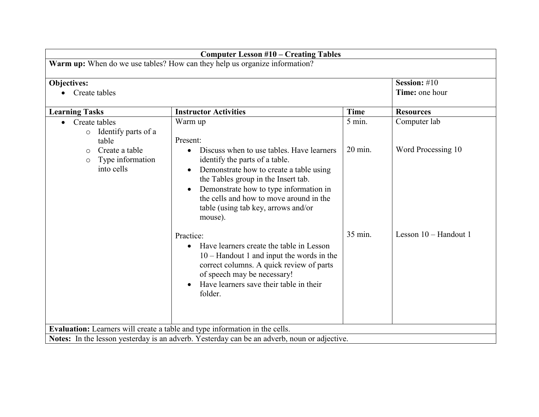| <b>Computer Lesson #10 - Creating Tables</b>                               |                                                                                                                                                                                                                                                                                                                                |                   |                       |
|----------------------------------------------------------------------------|--------------------------------------------------------------------------------------------------------------------------------------------------------------------------------------------------------------------------------------------------------------------------------------------------------------------------------|-------------------|-----------------------|
| Warm up: When do we use tables? How can they help us organize information? |                                                                                                                                                                                                                                                                                                                                |                   |                       |
| Objectives:                                                                |                                                                                                                                                                                                                                                                                                                                |                   | Session: #10          |
| Create tables                                                              |                                                                                                                                                                                                                                                                                                                                |                   | Time: one hour        |
| <b>Learning Tasks</b>                                                      | <b>Instructor Activities</b>                                                                                                                                                                                                                                                                                                   | <b>Time</b>       | <b>Resources</b>      |
| Create tables<br>Identify parts of a<br>$\circ$<br>table                   | Warm up<br>Present:                                                                                                                                                                                                                                                                                                            | $5$ min.          | Computer lab          |
| Create a table<br>$\Omega$<br>Type information<br>$\circ$<br>into cells    | Discuss when to use tables. Have learners<br>$\bullet$<br>identify the parts of a table.<br>Demonstrate how to create a table using<br>$\bullet$<br>the Tables group in the Insert tab.<br>Demonstrate how to type information in<br>the cells and how to move around in the<br>table (using tab key, arrows and/or<br>mouse). | $20 \text{ min.}$ | Word Processing 10    |
|                                                                            | Practice:<br>Have learners create the table in Lesson<br>$\bullet$<br>$10 -$ Handout 1 and input the words in the<br>correct columns. A quick review of parts<br>of speech may be necessary!<br>Have learners save their table in their<br>folder.                                                                             | 35 min.           | Lesson 10 - Handout 1 |
|                                                                            | Evaluation: Learners will create a table and type information in the cells.                                                                                                                                                                                                                                                    |                   |                       |
|                                                                            | Notes: In the lesson yesterday is an adverb. Yesterday can be an adverb, noun or adjective.                                                                                                                                                                                                                                    |                   |                       |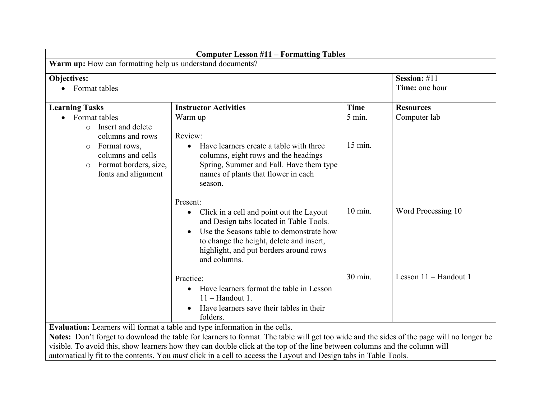| <b>Computer Lesson #11 – Formatting Tables</b>                                                                             |                                                                                                                                           |             |                       |
|----------------------------------------------------------------------------------------------------------------------------|-------------------------------------------------------------------------------------------------------------------------------------------|-------------|-----------------------|
| Warm up: How can formatting help us understand documents?                                                                  |                                                                                                                                           |             |                       |
| Objectives:                                                                                                                |                                                                                                                                           |             | Session: #11          |
| • Format tables                                                                                                            |                                                                                                                                           |             | Time: one hour        |
| <b>Learning Tasks</b>                                                                                                      | <b>Instructor Activities</b>                                                                                                              | <b>Time</b> | <b>Resources</b>      |
| Format tables                                                                                                              | Warm up                                                                                                                                   | $5$ min.    | Computer lab          |
| Insert and delete<br>$\circ$                                                                                               |                                                                                                                                           |             |                       |
| columns and rows                                                                                                           | Review:                                                                                                                                   |             |                       |
| Format rows,<br>$\circ$                                                                                                    | Have learners create a table with three<br>$\bullet$                                                                                      | 15 min.     |                       |
| columns and cells                                                                                                          | columns, eight rows and the headings                                                                                                      |             |                       |
| Format borders, size,<br>$\circ$<br>fonts and alignment                                                                    | Spring, Summer and Fall. Have them type<br>names of plants that flower in each                                                            |             |                       |
|                                                                                                                            | season.                                                                                                                                   |             |                       |
|                                                                                                                            |                                                                                                                                           |             |                       |
|                                                                                                                            | Present:                                                                                                                                  |             |                       |
|                                                                                                                            | Click in a cell and point out the Layout                                                                                                  | 10 min.     | Word Processing 10    |
|                                                                                                                            | and Design tabs located in Table Tools.                                                                                                   |             |                       |
|                                                                                                                            | Use the Seasons table to demonstrate how                                                                                                  |             |                       |
|                                                                                                                            | to change the height, delete and insert,                                                                                                  |             |                       |
|                                                                                                                            | highlight, and put borders around rows                                                                                                    |             |                       |
|                                                                                                                            | and columns.                                                                                                                              |             |                       |
|                                                                                                                            | Practice:                                                                                                                                 | 30 min.     | Lesson 11 - Handout 1 |
|                                                                                                                            | Have learners format the table in Lesson<br>$\bullet$                                                                                     |             |                       |
|                                                                                                                            | $11 -$ Handout 1.                                                                                                                         |             |                       |
|                                                                                                                            | Have learners save their tables in their                                                                                                  |             |                       |
|                                                                                                                            | folders.                                                                                                                                  |             |                       |
| Evaluation: Learners will format a table and type information in the cells.                                                |                                                                                                                                           |             |                       |
|                                                                                                                            | Notes: Don't forget to download the table for learners to format. The table will get too wide and the sides of the page will no longer be |             |                       |
| visible. To avoid this, show learners how they can double click at the top of the line between columns and the column will |                                                                                                                                           |             |                       |
| automatically fit to the contents. You <i>must</i> click in a cell to access the Layout and Design tabs in Table Tools.    |                                                                                                                                           |             |                       |